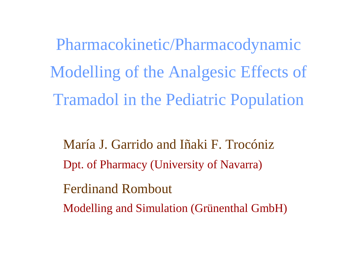Pharmacokinetic/Pharmacodynamic Modelling of the Analgesic Effects of Tramadol in the Pediatric Population

María J. Garrido and Iñaki F. TrocónizDpt. of Pharmacy (University of Navarra)

Ferdinand Rombout

Modelling and Simulation (Grünenthal GmbH)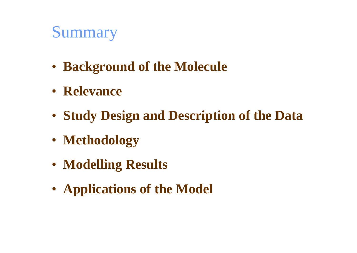# Summary

- **Background of the Molecule**
- **Relevance**
- **Study Design and Description of the Data**
- **Methodology**
- **Modelling Results**
- **Applications of the Model**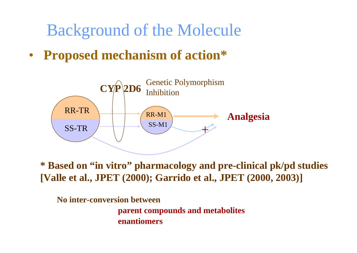Background of the Molecule

•**Proposed mechanism of action\***



**\* Based on "in vitro" pharmacology and pre-clinical pk/pd studies [Valle et al., JPET (2000); Garrido et al., JPET (2000, 2003)]**

**No inter-conversion between parent compounds and metabolites enantiomers**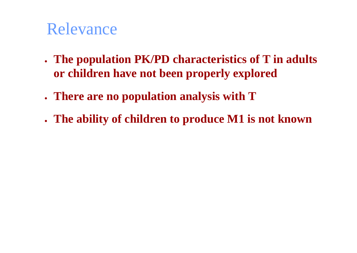## Relevance

- n **The population PK/PD characteristics of T in adults or children have not been properly explored**
- n **There are no population analysis with T**
- n **The ability of children to produce M1 is not known**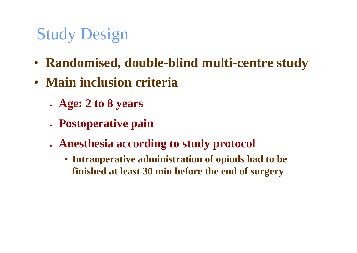# Study Design

- **Randomised, double-blind multi-centre study**
- **Main inclusion criteria**
	- n **Age: 2 to 8 years**
	- **. Postoperative pain**
	- n **Anesthesia according to study protocol**
		- **Intraoperative administration of opiods had to be finished at least 30 min before the end of surgery**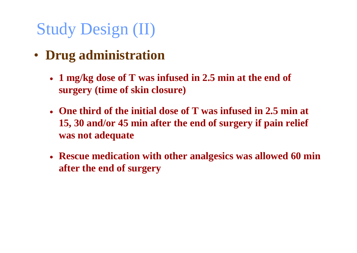# Study Design (II)

- **Drug administration**
	- $\bullet$  **1 mg/kg dose of T was infused in 2.5 min at the end of surgery (time of skin closure)**
	- n **One third of the initial dose of T was infused in 2.5 min at 15, 30 and/or 45 min after the end of surgery if pain relief was not adequate**
	- n **Rescue medication with other analgesics was allowed 60 min after the end of surgery**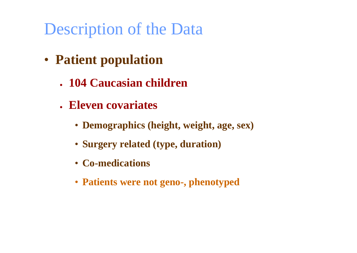- **Patient population**
	- n **104 Caucasian children**
	- n **Eleven covariates**
		- **Demographics (height, weight, age, sex)**
		- **Surgery related (type, duration)**
		- **Co-medications**
		- **Patients were not geno-, phenotyped**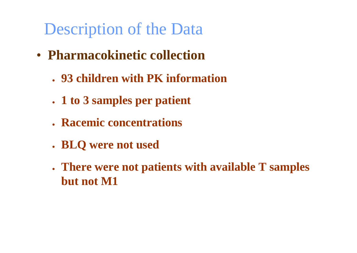- **Pharmacokinetic collection**
	- n **93 children with PK information**
	- n **1 to 3 samples per patient**
	- **Racemic concentrations**
	- n **BLQ were not used**
	- n **There were not patients with available T samples but not M1**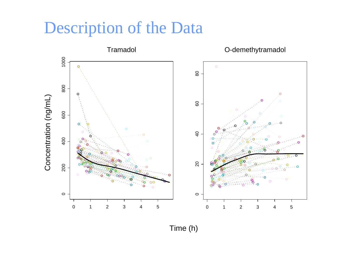

Time (h)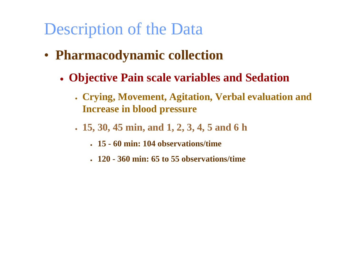- **Pharmacodynamic collection**
	- n **Objective Pain scale variables and Sedation**
		- n **Crying, Movement, Agitation, Verbal evaluation and Increase in blood pressure**
		- n **15, 30, 45 min, and 1, 2, 3, 4, 5 and 6 h**
			- n **15 - 60 min: 104 observations/time**
			- n **120 - 360 min: 65 to 55 observations/time**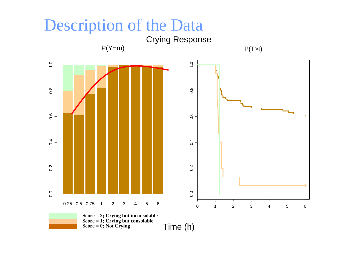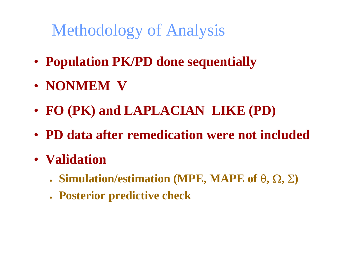# Methodology of Analysis

- **Population PK/PD done sequentially**
- **NONMEM V**
- **FO (PK) and LAPLACIAN LIKE (PD)**
- **PD data after remedication were not included**
- **Validation**
	- n **Simulation/estimation (MPE, MAPE of**  θ**,**  Ω**,**  Σ **)**
	- n **Posterior predictive check**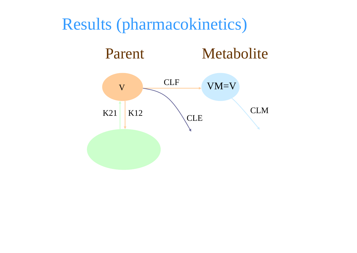### Results (pharmacokinetics)

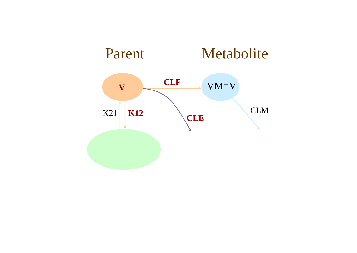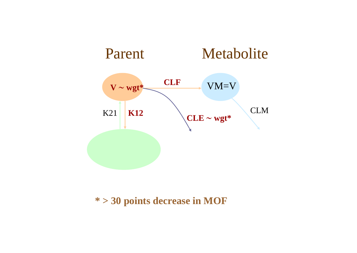

#### **\* > 30 points decrease in MOF**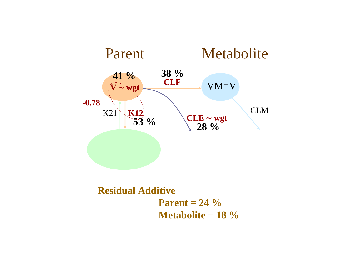

**Residual Additive Parent = 24 %Metabolite = 18 %**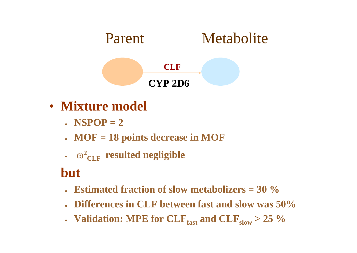

- **Mixture model**
	- n **NSPOP = 2**
	- n **MOF = 18 points decrease in MOF**
	- $\cdot$   $\omega^2_{CLF}$  **resulted negligible**

### **but**

- n **Estimated fraction of slow metabolizers = 30 %**
- n **Differences in CLF between fast and slow was 50%**
- **.** Validation: MPE for  $CLF_{fast}$  and  $CLF_{slow} > 25 \%$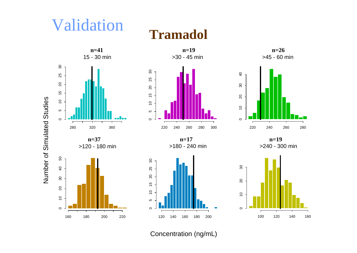# Validation

### **Tramadol**



Concentration (ng/mL)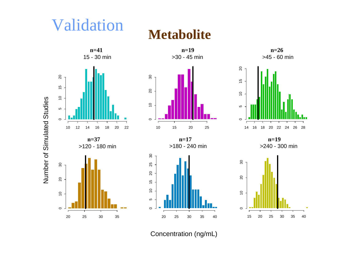# Validation

**Metabolite**



Concentration (ng/mL)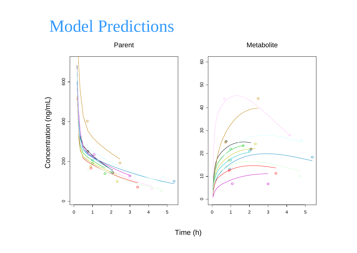## Model Predictions

Parent Metabolite 60 10 20 30 40 50 60 600 200 400 600 50 Concentration (ng/mL)  $\circ$ Concentration (ng/mL) $\overline{a}$ 400  $\circ$  $30$  $\hat{\mathcal{O}}$  $\Omega$ 20 200  $\circ$ 2  $\circ$  $\overline{0}$ ح  $\circ$  $\circ$  $\circ$  $\circ$  $\circ$  $\circ$  $\circ$ Ш п т ┓ 0 1 2 3 0 1

Time (h)

2 3 4 5

4

5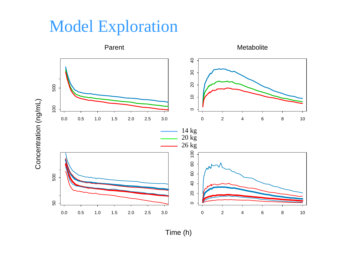## Model Exploration



Time (h)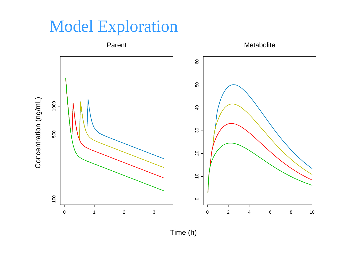# Model Exploration



Time (h)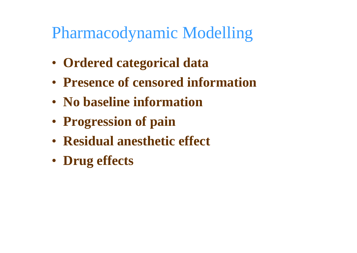# Pharmacodynamic Modelling

- **Ordered categorical data**
- **Presence of censored information**
- **No baseline information**
- **Progression of pain**
- **Residual anesthetic effect**
- **Drug effects**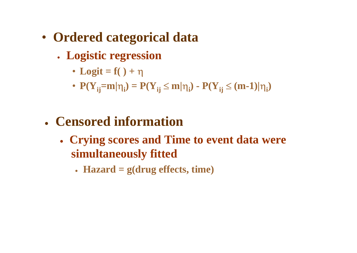- **Ordered categorical data**
	- n **Logistic regression**
		- **Logit = f( ) +** η
		- $P(Y_{ij} = m | \eta_i) = P(Y_{ij} \le m | \eta_i) P(Y_{ij} \le (m-1) | \eta_i)$
	- n **Censored information**
		- n **Crying scores and Time to event data were simultaneously fitted**
			- n **Hazard = g(drug effects, time)**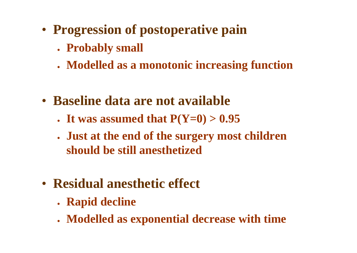- **Progression of postoperative pain**
	- n **Probably small**
	- n **Modelled as a monotonic increasing function**
- **Baseline data are not available**
	- **.** It was assumed that  $P(Y=0) > 0.95$
	- n **Just at the end of the surgery most children should be still anesthetized**
- **Residual anesthetic effect**
	- **Rapid decline**
	- n **Modelled as exponential decrease with time**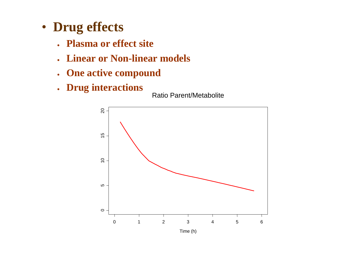- **Drug effects**
	- n **Plasma or effect site**
	- n **Linear or Non-linear models**
	- $\bullet$ **One active compound**
	- $\bullet$ **Drug interactions**<br>Ratio Parent/Metabolite



Time (h)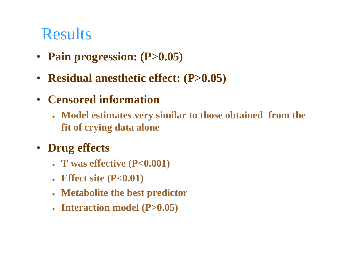# **Results**

- **Pain progression: (P>0.05)**
- **Residual anesthetic effect: (P>0.05)**
- $\bullet$  **Censored information**
	- n **Model estimates very similar to those obtained from the fit of crying data alone**
- • **Drug effects**
	- n **T was effective (P<0.001)**
	- $\bullet$ **Effect site (P<0.01)**
	- $\bullet$ **Metabolite the best predictor**
	- Interaction model (P>0.05)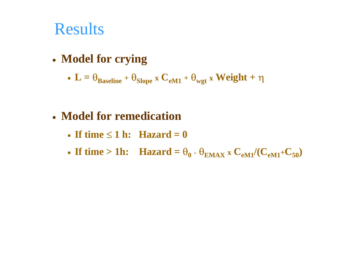## Results

n **Model for crying**

$$
\bullet \ \ L = \theta_{Baseline} + \theta_{Slope} \ x \ C_{eM1} + \theta_{wgt} \ x \ Weight + \eta
$$

#### n **Model for remedication**

- n **If time** ≤ **1 h: Hazard = 0**
- o • If time > 1h: Hazard =  $\theta_0$  ·  $\theta_{\text{EMAX}}$  x  $C_{eM1}/(C_{eM1}+C_{50})$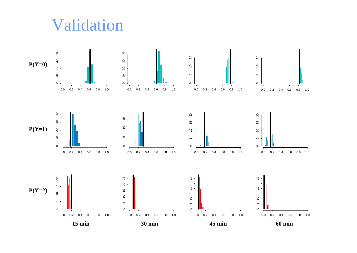## Validation

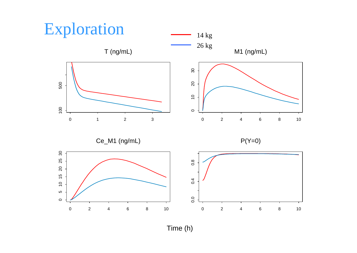

Time (h)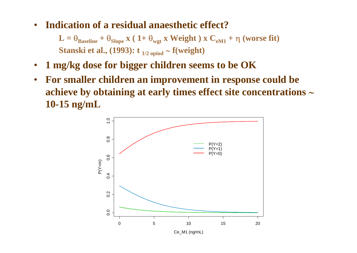•**Indication of a residual anaesthetic effect?**

> $\mathbf{L} = \Theta_{\text{Baseline}} + \Theta_{\text{Slope}} \mathbf{x}$  (  $1+\Theta_{\text{wgt}} \mathbf{x}$  Weight ) x  $\mathbf{C}_{\text{eM1}} + \eta$  (worse fit) **Stanski et al., (1993): t 1/2 opiod** <sup>∼</sup> **f(weight)**

- •**1 mg/kg dose for bigger children seems to be OK**
- • **For smaller children an improvement in response could be achieve by obtaining at early times effect site concentrations** <sup>∼</sup> **10-15 ng/mL**

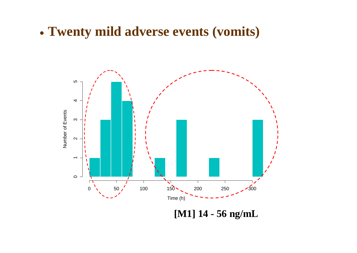O **Twenty mild adverse events (vomits)**



**[M1] 14 - 56 ng/mL**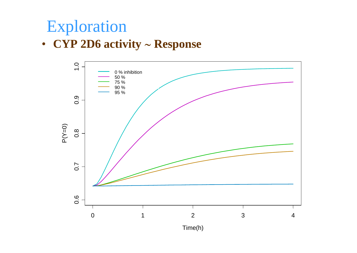# Exploration

#### • **CYP 2D6 activity** <sup>∼</sup> **Response**



Time(h)